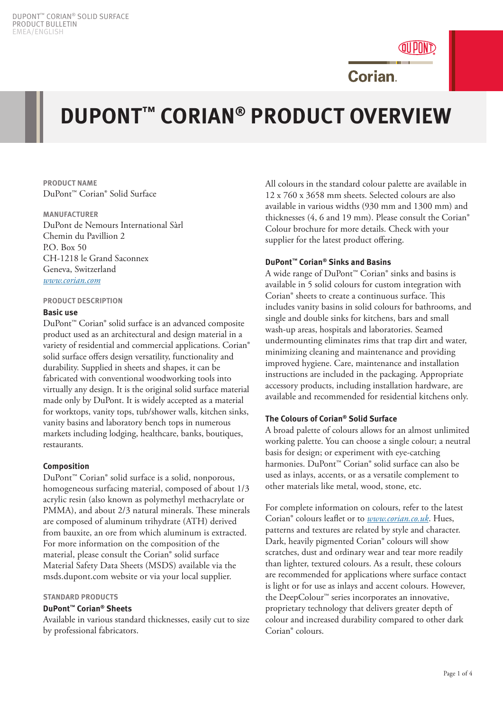

# **DUPONT™ CORIAN® PRODUCT OVERVIEW**

**PRODUCT NAME** DuPont™ Corian® Solid Surface

**MANUFACTURER** DuPont de Nemours International Sàrl Chemin du Pavillion 2 P.O. Box 50 CH-1218 le Grand Saconnex Geneva, Switzerland *www.corian.com*

#### **PRODUCT DESCRIPTION**

### **Basic use**

DuPont™ Corian® solid surface is an advanced composite product used as an architectural and design material in a variety of residential and commercial applications. Corian® solid surface offers design versatility, functionality and durability. Supplied in sheets and shapes, it can be fabricated with conventional woodworking tools into virtually any design. It is the original solid surface material made only by DuPont. It is widely accepted as a material for worktops, vanity tops, tub/shower walls, kitchen sinks, vanity basins and laboratory bench tops in numerous markets including lodging, healthcare, banks, boutiques, restaurants.

# **Composition**

DuPont™ Corian® solid surface is a solid, nonporous, homogeneous surfacing material, composed of about 1/3 acrylic resin (also known as polymethyl methacrylate or PMMA), and about 2/3 natural minerals. These minerals are composed of aluminum trihydrate (ATH) derived from bauxite, an ore from which aluminum is extracted. For more information on the composition of the material, please consult the Corian® solid surface Material Safety Data Sheets (MSDS) available via the msds.dupont.com website or via your local supplier.

# **STANDARD PRODUCTS**

# **DuPont™ Corian® Sheets**

Available in various standard thicknesses, easily cut to size by professional fabricators.

All colours in the standard colour palette are available in 12 x 760 x 3658 mm sheets. Selected colours are also available in various widths (930 mm and 1300 mm) and thicknesses (4, 6 and 19 mm). Please consult the Corian® Colour brochure for more details. Check with your supplier for the latest product offering.

# **DuPont™ Corian® Sinks and Basins**

A wide range of DuPont™ Corian® sinks and basins is available in 5 solid colours for custom integration with Corian® sheets to create a continuous surface. This includes vanity basins in solid colours for bathrooms, and single and double sinks for kitchens, bars and small wash-up areas, hospitals and laboratories. Seamed undermounting eliminates rims that trap dirt and water, minimizing cleaning and maintenance and providing improved hygiene. Care, maintenance and installation instructions are included in the packaging. Appropriate accessory products, including installation hardware, are available and recommended for residential kitchens only.

# **The Colours of Corian® Solid Surface**

A broad palette of colours allows for an almost unlimited working palette. You can choose a single colour; a neutral basis for design; or experiment with eye-catching harmonies. DuPont™ Corian® solid surface can also be used as inlays, accents, or as a versatile complement to other materials like metal, wood, stone, etc.

For complete information on colours, refer to the latest Corian® colours leaflet or to *www.corian.co.uk*. Hues, patterns and textures are related by style and character. Dark, heavily pigmented Corian® colours will show scratches, dust and ordinary wear and tear more readily than lighter, textured colours. As a result, these colours are recommended for applications where surface contact is light or for use as inlays and accent colours. However, the DeepColour™ series incorporates an innovative, proprietary technology that delivers greater depth of colour and increased durability compared to other dark Corian® colours.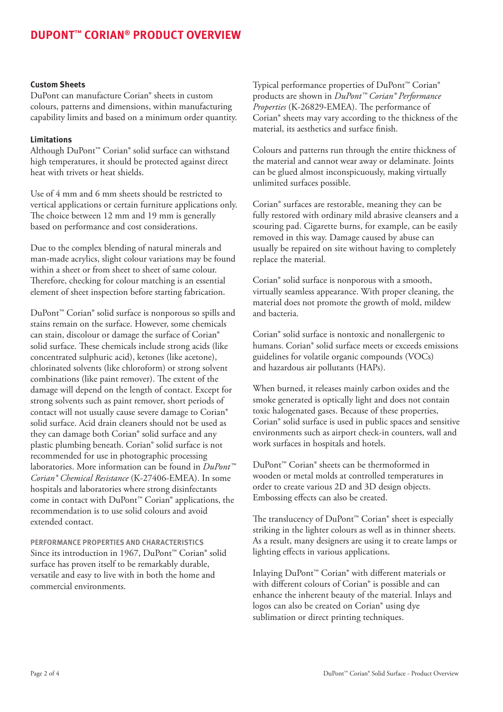# **Custom Sheets**

DuPont can manufacture Corian® sheets in custom colours, patterns and dimensions, within manufacturing capability limits and based on a minimum order quantity.

## **Limitations**

Although DuPont™ Corian® solid surface can withstand high temperatures, it should be protected against direct heat with trivets or heat shields.

Use of 4 mm and 6 mm sheets should be restricted to vertical applications or certain furniture applications only. The choice between 12 mm and 19 mm is generally based on performance and cost considerations.

Due to the complex blending of natural minerals and man-made acrylics, slight colour variations may be found within a sheet or from sheet to sheet of same colour. Therefore, checking for colour matching is an essential element of sheet inspection before starting fabrication.

DuPont™ Corian® solid surface is nonporous so spills and stains remain on the surface. However, some chemicals can stain, discolour or damage the surface of Corian® solid surface. These chemicals include strong acids (like concentrated sulphuric acid), ketones (like acetone), chlorinated solvents (like chloroform) or strong solvent combinations (like paint remover). The extent of the damage will depend on the length of contact. Except for strong solvents such as paint remover, short periods of contact will not usually cause severe damage to Corian® solid surface. Acid drain cleaners should not be used as they can damage both Corian® solid surface and any plastic plumbing beneath. Corian® solid surface is not recommended for use in photographic processing laboratories. More information can be found in *DuPont™ Corian® Chemical Resistance* (K-27406-EMEA). In some hospitals and laboratories where strong disinfectants come in contact with DuPont™ Corian® applications, the recommendation is to use solid colours and avoid extended contact.

**PERFORMANCE PROPERTIES AND CHARACTERISTICS** Since its introduction in 1967, DuPont™ Corian® solid surface has proven itself to be remarkably durable, versatile and easy to live with in both the home and commercial environments.

Typical performance properties of DuPont<sup>™</sup> Corian® products are shown in *DuPont™ Corian® Performance Properties* (K-26829-EMEA). The performance of Corian® sheets may vary according to the thickness of the material, its aesthetics and surface finish.

Colours and patterns run through the entire thickness of the material and cannot wear away or delaminate. Joints can be glued almost inconspicuously, making virtually unlimited surfaces possible.

Corian® surfaces are restorable, meaning they can be fully restored with ordinary mild abrasive cleansers and a scouring pad. Cigarette burns, for example, can be easily removed in this way. Damage caused by abuse can usually be repaired on site without having to completely replace the material.

Corian® solid surface is nonporous with a smooth, virtually seamless appearance. With proper cleaning, the material does not promote the growth of mold, mildew and bacteria.

Corian® solid surface is nontoxic and nonallergenic to humans. Corian® solid surface meets or exceeds emissions guidelines for volatile organic compounds (VOCs) and hazardous air pollutants (HAPs).

When burned, it releases mainly carbon oxides and the smoke generated is optically light and does not contain toxic halogenated gases. Because of these properties, Corian® solid surface is used in public spaces and sensitive environments such as airport check-in counters, wall and work surfaces in hospitals and hotels.

DuPont™ Corian® sheets can be thermoformed in wooden or metal molds at controlled temperatures in order to create various 2D and 3D design objects. Embossing effects can also be created.

The translucency of DuPont™ Corian® sheet is especially striking in the lighter colours as well as in thinner sheets. As a result, many designers are using it to create lamps or lighting effects in various applications.

Inlaying DuPont™ Corian® with different materials or with different colours of Corian® is possible and can enhance the inherent beauty of the material. Inlays and logos can also be created on Corian® using dye sublimation or direct printing techniques.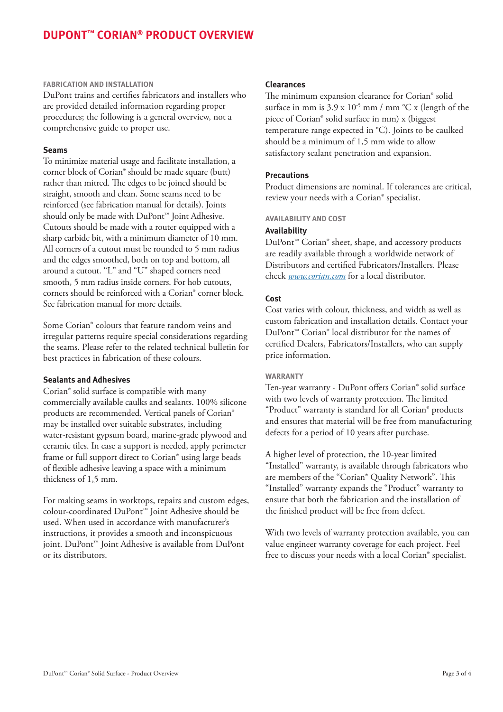# **DUPONT™ CORIAN® PRODUCT OVERVIEW**

#### **FABRICATION AND INSTALLATION**

DuPont trains and certifies fabricators and installers who are provided detailed information regarding proper procedures; the following is a general overview, not a comprehensive guide to proper use.

#### **Seams**

To minimize material usage and facilitate installation, a corner block of Corian® should be made square (butt) rather than mitred. The edges to be joined should be straight, smooth and clean. Some seams need to be reinforced (see fabrication manual for details). Joints should only be made with DuPont™ Joint Adhesive. Cutouts should be made with a router equipped with a sharp carbide bit, with a minimum diameter of 10 mm. All corners of a cutout must be rounded to 5 mm radius and the edges smoothed, both on top and bottom, all around a cutout. "L" and "U" shaped corners need smooth, 5 mm radius inside corners. For hob cutouts, corners should be reinforced with a Corian® corner block. See fabrication manual for more details.

Some Corian® colours that feature random veins and irregular patterns require special considerations regarding the seams. Please refer to the related technical bulletin for best practices in fabrication of these colours.

#### **Sealants and Adhesives**

Corian® solid surface is compatible with many commercially available caulks and sealants. 100% silicone products are recommended. Vertical panels of Corian® may be installed over suitable substrates, including water-resistant gypsum board, marine-grade plywood and ceramic tiles. In case a support is needed, apply perimeter frame or full support direct to Corian® using large beads of flexible adhesive leaving a space with a minimum thickness of 1,5 mm.

For making seams in worktops, repairs and custom edges, colour-coordinated DuPont™ Joint Adhesive should be used. When used in accordance with manufacturer's instructions, it provides a smooth and inconspicuous ioint. DuPont<sup>™</sup> Joint Adhesive is available from DuPont or its distributors.

#### **Clearances**

The minimum expansion clearance for Corian® solid surface in mm is  $3.9 \times 10^{-5}$  mm / mm °C x (length of the piece of Corian® solid surface in mm) x (biggest temperature range expected in °C). Joints to be caulked should be a minimum of 1,5 mm wide to allow satisfactory sealant penetration and expansion.

#### **Precautions**

Product dimensions are nominal. If tolerances are critical, review your needs with a Corian® specialist.

#### **AVAILABILITY AND COST**

#### **Availability**

DuPont™ Corian® sheet, shape, and accessory products are readily available through a worldwide network of Distributors and certified Fabricators/Installers. Please check *www.corian.com* for a local distributor.

#### **Cost**

Cost varies with colour, thickness, and width as well as custom fabrication and installation details. Contact your DuPont™ Corian® local distributor for the names of certified Dealers, Fabricators/Installers, who can supply price information.

#### **WARRANTY**

Ten-year warranty - DuPont offers Corian® solid surface with two levels of warranty protection. The limited "Product" warranty is standard for all Corian® products and ensures that material will be free from manufacturing defects for a period of 10 years after purchase.

A higher level of protection, the 10-year limited "Installed" warranty, is available through fabricators who are members of the "Corian® Quality Network". This "Installed" warranty expands the "Product" warranty to ensure that both the fabrication and the installation of the finished product will be free from defect.

With two levels of warranty protection available, you can value engineer warranty coverage for each project. Feel free to discuss your needs with a local Corian® specialist.